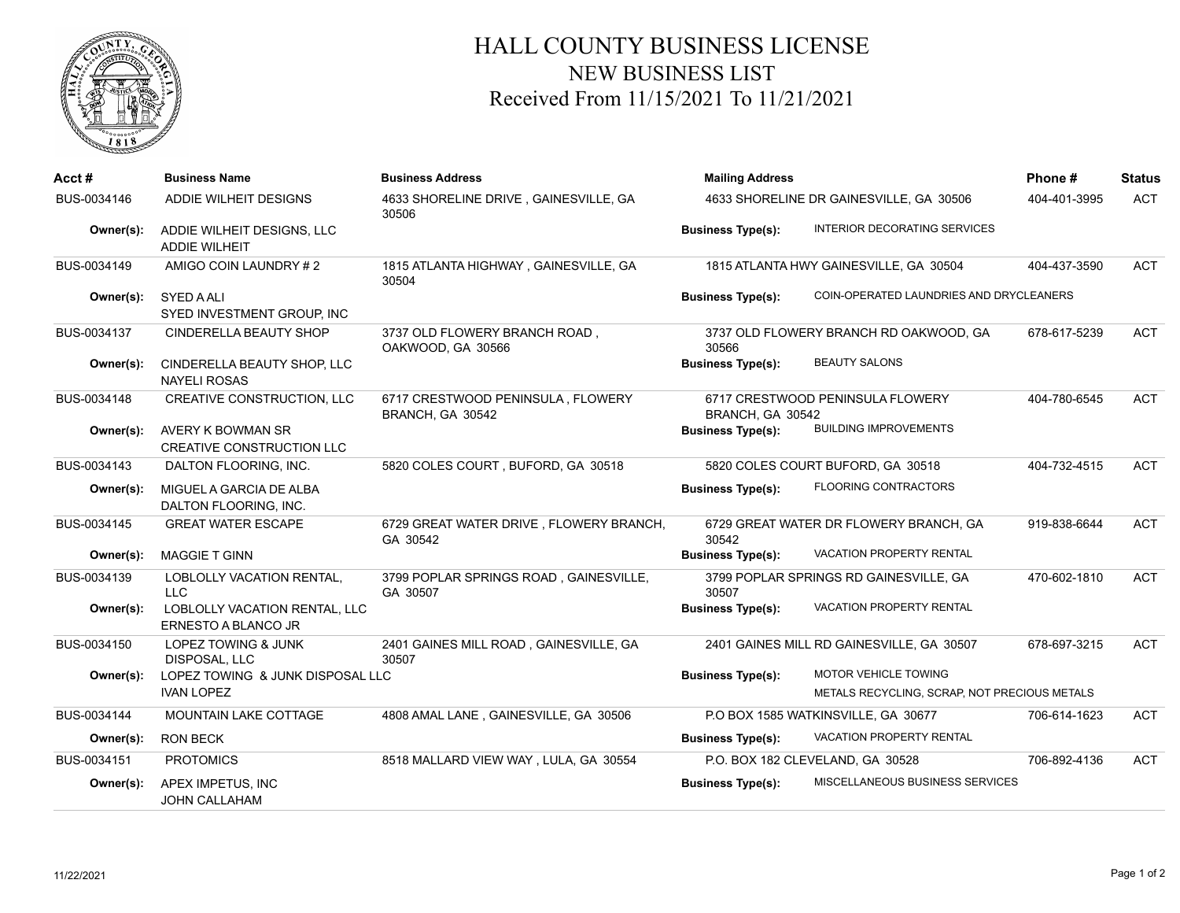

## HALL COUNTY BUSINESS LICENSE NEW BUSINESS LIST Received From 11/15/2021 To 11/21/2021

| Acct#       | <b>Business Name</b>                                  | <b>Business Address</b>                               | <b>Mailing Address</b><br>4633 SHORELINE DR GAINESVILLE, GA 30506 |                                                                             | Phone#       | <b>Status</b> |
|-------------|-------------------------------------------------------|-------------------------------------------------------|-------------------------------------------------------------------|-----------------------------------------------------------------------------|--------------|---------------|
| BUS-0034146 | ADDIE WILHEIT DESIGNS                                 | 4633 SHORELINE DRIVE, GAINESVILLE, GA<br>30506        |                                                                   |                                                                             | 404-401-3995 | <b>ACT</b>    |
| Owner(s):   | ADDIE WILHEIT DESIGNS, LLC<br><b>ADDIE WILHEIT</b>    |                                                       | <b>Business Type(s):</b>                                          | <b>INTERIOR DECORATING SERVICES</b>                                         |              |               |
| BUS-0034149 | AMIGO COIN LAUNDRY #2                                 | 1815 ATLANTA HIGHWAY, GAINESVILLE, GA<br>30504        | 1815 ATLANTA HWY GAINESVILLE, GA 30504                            |                                                                             | 404-437-3590 | ACT           |
| Owner(s):   | <b>SYED A ALI</b><br>SYED INVESTMENT GROUP, INC       |                                                       | <b>Business Type(s):</b>                                          | COIN-OPERATED LAUNDRIES AND DRYCLEANERS                                     |              |               |
| BUS-0034137 | <b>CINDERELLA BEAUTY SHOP</b>                         | 3737 OLD FLOWERY BRANCH ROAD,<br>OAKWOOD, GA 30566    | 30566                                                             | 3737 OLD FLOWERY BRANCH RD OAKWOOD, GA                                      | 678-617-5239 | <b>ACT</b>    |
| Owner(s):   | CINDERELLA BEAUTY SHOP, LLC<br><b>NAYELI ROSAS</b>    |                                                       | <b>Business Type(s):</b>                                          | <b>BEAUTY SALONS</b>                                                        |              |               |
| BUS-0034148 | CREATIVE CONSTRUCTION, LLC                            | 6717 CRESTWOOD PENINSULA, FLOWERY<br>BRANCH, GA 30542 | 6717 CRESTWOOD PENINSULA FLOWERY<br>BRANCH, GA 30542              |                                                                             | 404-780-6545 | <b>ACT</b>    |
| Owner(s):   | AVERY K BOWMAN SR<br>CREATIVE CONSTRUCTION LLC        |                                                       | <b>Business Type(s):</b>                                          | <b>BUILDING IMPROVEMENTS</b>                                                |              |               |
| BUS-0034143 | DALTON FLOORING, INC.                                 | 5820 COLES COURT, BUFORD, GA 30518                    |                                                                   | 5820 COLES COURT BUFORD, GA 30518                                           | 404-732-4515 | <b>ACT</b>    |
| Owner(s):   | MIGUEL A GARCIA DE ALBA<br>DALTON FLOORING, INC.      |                                                       | <b>Business Type(s):</b>                                          | <b>FLOORING CONTRACTORS</b>                                                 |              |               |
| BUS-0034145 | <b>GREAT WATER ESCAPE</b>                             | 6729 GREAT WATER DRIVE, FLOWERY BRANCH,<br>GA 30542   | 30542                                                             | 6729 GREAT WATER DR FLOWERY BRANCH, GA                                      | 919-838-6644 | <b>ACT</b>    |
| Owner(s):   | <b>MAGGIE T GINN</b>                                  |                                                       | <b>Business Type(s):</b>                                          | VACATION PROPERTY RENTAL                                                    |              |               |
| BUS-0034139 | LOBLOLLY VACATION RENTAL,<br><b>LLC</b>               | 3799 POPLAR SPRINGS ROAD, GAINESVILLE,<br>GA 30507    | 30507                                                             | 3799 POPLAR SPRINGS RD GAINESVILLE, GA                                      | 470-602-1810 | <b>ACT</b>    |
| Owner(s):   | LOBLOLLY VACATION RENTAL, LLC<br>ERNESTO A BLANCO JR  |                                                       | <b>Business Type(s):</b>                                          | VACATION PROPERTY RENTAL                                                    |              |               |
| BUS-0034150 | LOPEZ TOWING & JUNK<br><b>DISPOSAL, LLC</b>           | 2401 GAINES MILL ROAD, GAINESVILLE, GA<br>30507       |                                                                   | 2401 GAINES MILL RD GAINESVILLE, GA 30507                                   | 678-697-3215 | <b>ACT</b>    |
| Owner(s):   | LOPEZ TOWING & JUNK DISPOSAL LLC<br><b>IVAN LOPEZ</b> |                                                       | <b>Business Type(s):</b>                                          | <b>MOTOR VEHICLE TOWING</b><br>METALS RECYCLING, SCRAP, NOT PRECIOUS METALS |              |               |
| BUS-0034144 | <b>MOUNTAIN LAKE COTTAGE</b>                          | 4808 AMAL LANE, GAINESVILLE, GA 30506                 |                                                                   | P.O BOX 1585 WATKINSVILLE, GA 30677                                         | 706-614-1623 | <b>ACT</b>    |
| Owner(s):   | <b>RON BECK</b>                                       |                                                       | <b>Business Type(s):</b>                                          | VACATION PROPERTY RENTAL                                                    |              |               |
| BUS-0034151 | <b>PROTOMICS</b>                                      | 8518 MALLARD VIEW WAY, LULA, GA 30554                 |                                                                   | P.O. BOX 182 CLEVELAND, GA 30528                                            | 706-892-4136 | <b>ACT</b>    |
| Owner(s):   | APEX IMPETUS, INC<br><b>JOHN CALLAHAM</b>             |                                                       | <b>Business Type(s):</b>                                          | MISCELLANEOUS BUSINESS SERVICES                                             |              |               |